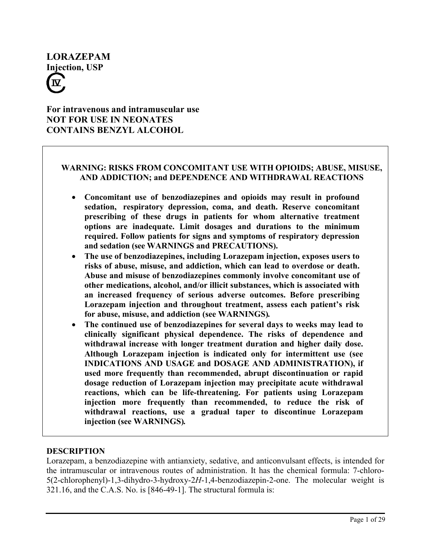# **LORAZEPAM Injection, USP**  $\overline{\mathbf{N}}$

# **For intravenous and intramuscular use NOT FOR USE IN NEONATES CONTAINS BENZYL ALCOHOL**

# **WARNING: RISKS FROM CONCOMITANT USE WITH OPIOIDS; ABUSE, MISUSE, AND ADDICTION; and DEPENDENCE AND WITHDRAWAL REACTIONS**

- **Concomitant use of benzodiazepines and opioids may result in profound sedation, respiratory depression, coma, and death. Reserve concomitant prescribing of these drugs in patients for whom alternative treatment options are inadequate. Limit dosages and durations to the minimum required. Follow patients for signs and symptoms of respiratory depression and sedation (see WARNINGS and PRECAUTIONS).**
- **The use of benzodiazepines, including Lorazepam injection, exposes users to risks of abuse, misuse, and addiction, which can lead to overdose or death. Abuse and misuse of benzodiazepines commonly involve concomitant use of other medications, alcohol, and/or illicit substances, which is associated with an increased frequency of serious adverse outcomes. Before prescribing Lorazepam injection and throughout treatment, assess each patient's risk for abuse, misuse, and addiction (see WARNINGS)***.*
- **The continued use of benzodiazepines for several days to weeks may lead to clinically significant physical dependence. The risks of dependence and withdrawal increase with longer treatment duration and higher daily dose. Although Lorazepam injection is indicated only for intermittent use (see INDICATIONS AND USAGE and DOSAGE AND ADMINISTRATION), if used more frequently than recommended, abrupt discontinuation or rapid dosage reduction of Lorazepam injection may precipitate acute withdrawal reactions, which can be life-threatening. For patients using Lorazepam injection more frequently than recommended, to reduce the risk of withdrawal reactions, use a gradual taper to discontinue Lorazepam injection (see WARNINGS)***.*

# **DESCRIPTION**

Lorazepam, a benzodiazepine with antianxiety, sedative, and anticonvulsant effects, is intended for the intramuscular or intravenous routes of administration. It has the chemical formula: 7-chloro-5(2-chlorophenyl)-1,3-dihydro-3-hydroxy-2*H*-1,4-benzodiazepin-2-one. The molecular weight is 321.16, and the C.A.S. No. is [846-49-1]. The structural formula is: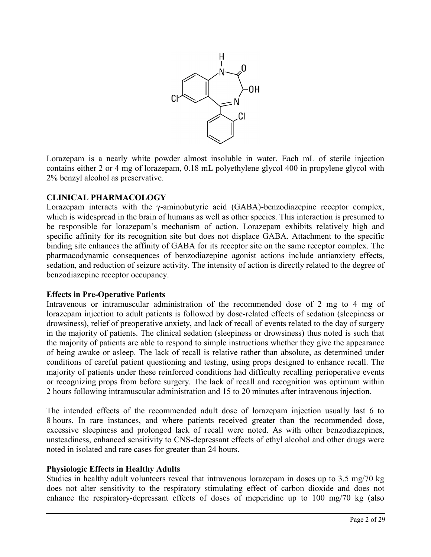

Lorazepam is a nearly white powder almost insoluble in water. Each mL of sterile injection contains either 2 or 4 mg of lorazepam, 0.18 mL polyethylene glycol 400 in propylene glycol with 2% benzyl alcohol as preservative.

# **CLINICAL PHARMACOLOGY**

Lorazepam interacts with the  $\gamma$ -aminobutyric acid (GABA)-benzodiazepine receptor complex, which is widespread in the brain of humans as well as other species. This interaction is presumed to be responsible for lorazepam's mechanism of action. Lorazepam exhibits relatively high and specific affinity for its recognition site but does not displace GABA. Attachment to the specific binding site enhances the affinity of GABA for its receptor site on the same receptor complex. The pharmacodynamic consequences of benzodiazepine agonist actions include antianxiety effects, sedation, and reduction of seizure activity. The intensity of action is directly related to the degree of benzodiazepine receptor occupancy.

# **Effects in Pre-Operative Patients**

Intravenous or intramuscular administration of the recommended dose of 2 mg to 4 mg of lorazepam injection to adult patients is followed by dose-related effects of sedation (sleepiness or drowsiness), relief of preoperative anxiety, and lack of recall of events related to the day of surgery in the majority of patients. The clinical sedation (sleepiness or drowsiness) thus noted is such that the majority of patients are able to respond to simple instructions whether they give the appearance of being awake or asleep. The lack of recall is relative rather than absolute, as determined under conditions of careful patient questioning and testing, using props designed to enhance recall. The majority of patients under these reinforced conditions had difficulty recalling perioperative events or recognizing props from before surgery. The lack of recall and recognition was optimum within 2 hours following intramuscular administration and 15 to 20 minutes after intravenous injection.

The intended effects of the recommended adult dose of lorazepam injection usually last 6 to 8 hours. In rare instances, and where patients received greater than the recommended dose, excessive sleepiness and prolonged lack of recall were noted. As with other benzodiazepines, unsteadiness, enhanced sensitivity to CNS-depressant effects of ethyl alcohol and other drugs were noted in isolated and rare cases for greater than 24 hours.

# **Physiologic Effects in Healthy Adults**

Studies in healthy adult volunteers reveal that intravenous lorazepam in doses up to 3.5 mg/70 kg does not alter sensitivity to the respiratory stimulating effect of carbon dioxide and does not enhance the respiratory-depressant effects of doses of meperidine up to 100 mg/70 kg (also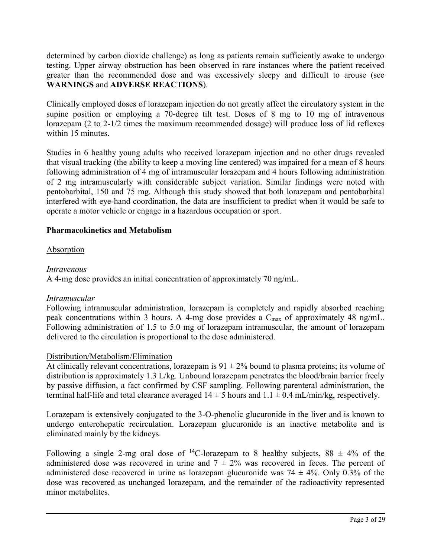determined by carbon dioxide challenge) as long as patients remain sufficiently awake to undergo testing. Upper airway obstruction has been observed in rare instances where the patient received greater than the recommended dose and was excessively sleepy and difficult to arouse (see **WARNINGS** and **ADVERSE REACTIONS**).

Clinically employed doses of lorazepam injection do not greatly affect the circulatory system in the supine position or employing a 70-degree tilt test. Doses of 8 mg to 10 mg of intravenous lorazepam (2 to 2-1/2 times the maximum recommended dosage) will produce loss of lid reflexes within 15 minutes.

Studies in 6 healthy young adults who received lorazepam injection and no other drugs revealed that visual tracking (the ability to keep a moving line centered) was impaired for a mean of 8 hours following administration of 4 mg of intramuscular lorazepam and 4 hours following administration of 2 mg intramuscularly with considerable subject variation. Similar findings were noted with pentobarbital, 150 and 75 mg. Although this study showed that both lorazepam and pentobarbital interfered with eye-hand coordination, the data are insufficient to predict when it would be safe to operate a motor vehicle or engage in a hazardous occupation or sport.

# **Pharmacokinetics and Metabolism**

# Absorption

# *Intravenous*

A 4-mg dose provides an initial concentration of approximately 70 ng/mL.

# *Intramuscular*

Following intramuscular administration, lorazepam is completely and rapidly absorbed reaching peak concentrations within 3 hours. A 4-mg dose provides a  $C_{\text{max}}$  of approximately 48 ng/mL. Following administration of 1.5 to 5.0 mg of lorazepam intramuscular, the amount of lorazepam delivered to the circulation is proportional to the dose administered.

# Distribution/Metabolism/Elimination

At clinically relevant concentrations, lorazepam is  $91 \pm 2\%$  bound to plasma proteins; its volume of distribution is approximately 1.3 L/kg. Unbound lorazepam penetrates the blood/brain barrier freely by passive diffusion, a fact confirmed by CSF sampling. Following parenteral administration, the terminal half-life and total clearance averaged  $14 \pm 5$  hours and  $1.1 \pm 0.4$  mL/min/kg, respectively.

Lorazepam is extensively conjugated to the 3-O-phenolic glucuronide in the liver and is known to undergo enterohepatic recirculation. Lorazepam glucuronide is an inactive metabolite and is eliminated mainly by the kidneys.

Following a single 2-mg oral dose of <sup>14</sup>C-lorazepam to 8 healthy subjects,  $88 \pm 4\%$  of the administered dose was recovered in urine and  $7 \pm 2\%$  was recovered in feces. The percent of administered dose recovered in urine as lorazepam glucuronide was  $74 \pm 4\%$ . Only 0.3% of the dose was recovered as unchanged lorazepam, and the remainder of the radioactivity represented minor metabolites.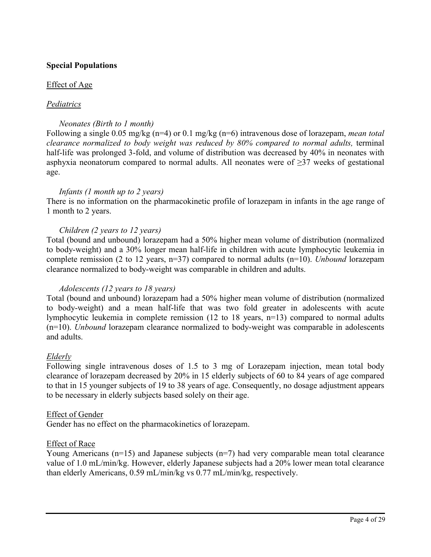# **Special Populations**

#### Effect of Age

#### *Pediatrics*

#### *Neonates (Birth to 1 month)*

Following a single 0.05 mg/kg (n=4) or 0.1 mg/kg (n=6) intravenous dose of lorazepam, *mean total clearance normalized to body weight was reduced by 80% compared to normal adults,* terminal half-life was prolonged 3-fold, and volume of distribution was decreased by 40% in neonates with asphyxia neonatorum compared to normal adults. All neonates were of  $\geq$ 37 weeks of gestational age.

#### *Infants (1 month up to 2 years)*

There is no information on the pharmacokinetic profile of lorazepam in infants in the age range of 1 month to 2 years.

#### *Children (2 years to 12 years)*

Total (bound and unbound) lorazepam had a 50% higher mean volume of distribution (normalized to body-weight) and a 30% longer mean half-life in children with acute lymphocytic leukemia in complete remission (2 to 12 years, n=37) compared to normal adults (n=10). *Unbound* lorazepam clearance normalized to body-weight was comparable in children and adults.

#### *Adolescents (12 years to 18 years)*

Total (bound and unbound) lorazepam had a 50% higher mean volume of distribution (normalized to body-weight) and a mean half-life that was two fold greater in adolescents with acute lymphocytic leukemia in complete remission (12 to 18 years, n=13) compared to normal adults (n=10). *Unbound* lorazepam clearance normalized to body-weight was comparable in adolescents and adults.

#### *Elderly*

Following single intravenous doses of 1.5 to 3 mg of Lorazepam injection, mean total body clearance of lorazepam decreased by 20% in 15 elderly subjects of 60 to 84 years of age compared to that in 15 younger subjects of 19 to 38 years of age. Consequently, no dosage adjustment appears to be necessary in elderly subjects based solely on their age.

#### Effect of Gender

Gender has no effect on the pharmacokinetics of lorazepam.

#### Effect of Race

Young Americans ( $n=15$ ) and Japanese subjects ( $n=7$ ) had very comparable mean total clearance value of 1.0 mL/min/kg. However, elderly Japanese subjects had a 20% lower mean total clearance than elderly Americans, 0.59 mL/min/kg vs 0.77 mL/min/kg, respectively.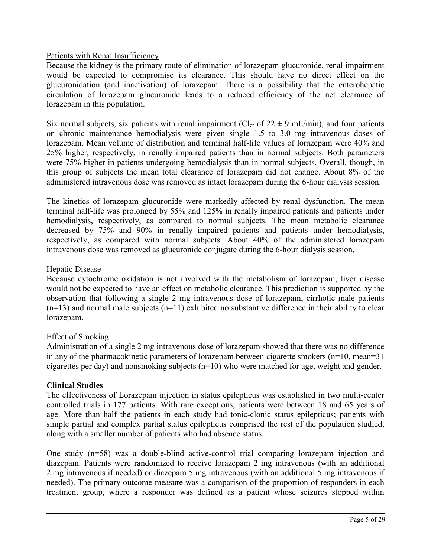# Patients with Renal Insufficiency

Because the kidney is the primary route of elimination of lorazepam glucuronide, renal impairment would be expected to compromise its clearance. This should have no direct effect on the glucuronidation (and inactivation) of lorazepam. There is a possibility that the enterohepatic circulation of lorazepam glucuronide leads to a reduced efficiency of the net clearance of lorazepam in this population.

Six normal subjects, six patients with renal impairment ( $Cl_{cr}$  of  $22 \pm 9$  mL/min), and four patients on chronic maintenance hemodialysis were given single 1.5 to 3.0 mg intravenous doses of lorazepam. Mean volume of distribution and terminal half-life values of lorazepam were 40% and 25% higher, respectively, in renally impaired patients than in normal subjects. Both parameters were 75% higher in patients undergoing hemodialysis than in normal subjects. Overall, though, in this group of subjects the mean total clearance of lorazepam did not change. About 8% of the administered intravenous dose was removed as intact lorazepam during the 6-hour dialysis session.

The kinetics of lorazepam glucuronide were markedly affected by renal dysfunction. The mean terminal half-life was prolonged by 55% and 125% in renally impaired patients and patients under hemodialysis, respectively, as compared to normal subjects. The mean metabolic clearance decreased by 75% and 90% in renally impaired patients and patients under hemodialysis, respectively, as compared with normal subjects. About 40% of the administered lorazepam intravenous dose was removed as glucuronide conjugate during the 6-hour dialysis session.

#### Hepatic Disease

Because cytochrome oxidation is not involved with the metabolism of lorazepam, liver disease would not be expected to have an effect on metabolic clearance. This prediction is supported by the observation that following a single 2 mg intravenous dose of lorazepam, cirrhotic male patients  $(n=13)$  and normal male subjects  $(n=11)$  exhibited no substantive difference in their ability to clear lorazepam.

# Effect of Smoking

Administration of a single 2 mg intravenous dose of lorazepam showed that there was no difference in any of the pharmacokinetic parameters of lorazepam between cigarette smokers (n=10, mean=31 cigarettes per day) and nonsmoking subjects (n=10) who were matched for age, weight and gender.

# **Clinical Studies**

The effectiveness of Lorazepam injection in status epilepticus was established in two multi-center controlled trials in 177 patients. With rare exceptions, patients were between 18 and 65 years of age. More than half the patients in each study had tonic-clonic status epilepticus; patients with simple partial and complex partial status epilepticus comprised the rest of the population studied, along with a smaller number of patients who had absence status.

One study (n=58) was a double-blind active-control trial comparing lorazepam injection and diazepam. Patients were randomized to receive lorazepam 2 mg intravenous (with an additional 2 mg intravenous if needed) or diazepam 5 mg intravenous (with an additional 5 mg intravenous if needed). The primary outcome measure was a comparison of the proportion of responders in each treatment group, where a responder was defined as a patient whose seizures stopped within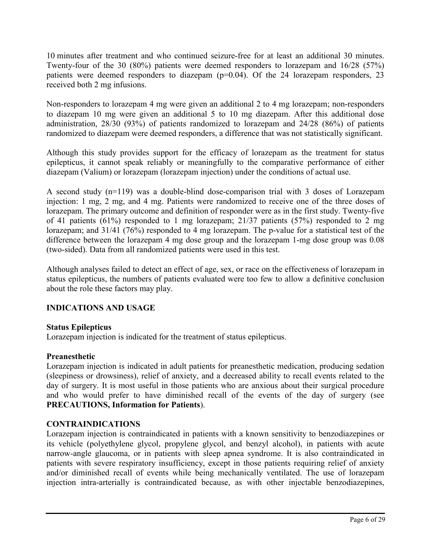10 minutes after treatment and who continued seizure-free for at least an additional 30 minutes. Twenty-four of the 30 (80%) patients were deemed responders to lorazepam and 16/28 (57%) patients were deemed responders to diazepam (p=0.04). Of the 24 lorazepam responders, 23 received both 2 mg infusions.

Non-responders to lorazepam 4 mg were given an additional 2 to 4 mg lorazepam; non-responders to diazepam 10 mg were given an additional 5 to 10 mg diazepam. After this additional dose administration, 28/30 (93%) of patients randomized to lorazepam and 24/28 (86%) of patients randomized to diazepam were deemed responders, a difference that was not statistically significant.

Although this study provides support for the efficacy of lorazepam as the treatment for status epilepticus, it cannot speak reliably or meaningfully to the comparative performance of either diazepam (Valium) or lorazepam (lorazepam injection) under the conditions of actual use.

A second study (n=119) was a double-blind dose-comparison trial with 3 doses of Lorazepam injection: 1 mg, 2 mg, and 4 mg. Patients were randomized to receive one of the three doses of lorazepam. The primary outcome and definition of responder were as in the first study. Twenty-five of 41 patients (61%) responded to 1 mg lorazepam; 21/37 patients (57%) responded to 2 mg lorazepam; and 31/41 (76%) responded to 4 mg lorazepam. The p-value for a statistical test of the difference between the lorazepam 4 mg dose group and the lorazepam 1-mg dose group was 0.08 (two-sided). Data from all randomized patients were used in this test.

Although analyses failed to detect an effect of age, sex, or race on the effectiveness of lorazepam in status epilepticus, the numbers of patients evaluated were too few to allow a definitive conclusion about the role these factors may play.

# **INDICATIONS AND USAGE**

# **Status Epilepticus**

Lorazepam injection is indicated for the treatment of status epilepticus.

# **Preanesthetic**

Lorazepam injection is indicated in adult patients for preanesthetic medication, producing sedation (sleepiness or drowsiness), relief of anxiety, and a decreased ability to recall events related to the day of surgery. It is most useful in those patients who are anxious about their surgical procedure and who would prefer to have diminished recall of the events of the day of surgery (see **PRECAUTIONS, Information for Patients**).

# **CONTRAINDICATIONS**

Lorazepam injection is contraindicated in patients with a known sensitivity to benzodiazepines or its vehicle (polyethylene glycol, propylene glycol, and benzyl alcohol), in patients with acute narrow-angle glaucoma, or in patients with sleep apnea syndrome. It is also contraindicated in patients with severe respiratory insufficiency, except in those patients requiring relief of anxiety and/or diminished recall of events while being mechanically ventilated. The use of lorazepam injection intra-arterially is contraindicated because, as with other injectable benzodiazepines,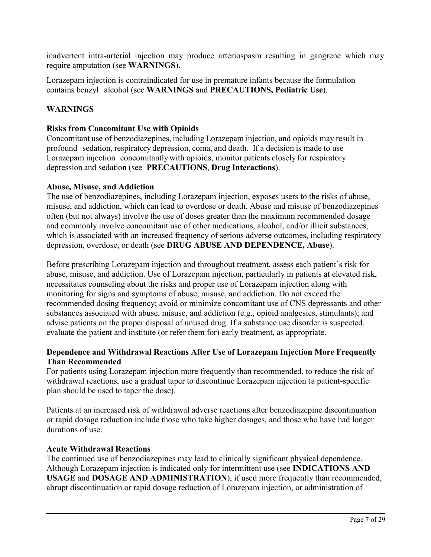inadvertent intra-arterial injection may produce arteriospasm resulting in gangrene which may require amputation (see **WARNINGS**).

Lorazepam injection is contraindicated for use in premature infants because the formulation contains benzyl alcohol (see **WARNINGS** and **PRECAUTIONS, Pediatric Use**).

# **WARNINGS**

#### **Risks from Concomitant Use with Opioids**

Concomitant use of benzodiazepines, including Lorazepam injection, and opioids may result in profound sedation, respiratory depression, coma, and death. If a decision is made to use Lorazepam injection concomitantly with opioids, monitor patients closely for respiratory depression and sedation (see **PRECAUTIONS**, **Drug Interactions**).

#### **Abuse, Misuse, and Addiction**

The use of benzodiazepines, including Lorazepam injection, exposes users to the risks of abuse, misuse, and addiction, which can lead to overdose or death. Abuse and misuse of benzodiazepines often (but not always) involve the use of doses greater than the maximum recommended dosage and commonly involve concomitant use of other medications, alcohol, and/or illicit substances, which is associated with an increased frequency of serious adverse outcomes, including respiratory depression, overdose, or death (see **DRUG ABUSE AND DEPENDENCE, Abuse**).

Before prescribing Lorazepam injection and throughout treatment, assess each patient's risk for abuse, misuse, and addiction. Use of Lorazepam injection, particularly in patients at elevated risk, necessitates counseling about the risks and proper use of Lorazepam injection along with monitoring for signs and symptoms of abuse, misuse, and addiction. Do not exceed the recommended dosing frequency; avoid or minimize concomitant use of CNS depressants and other substances associated with abuse, misuse, and addiction (e.g., opioid analgesics, stimulants); and advise patients on the proper disposal of unused drug. If a substance use disorder is suspected, evaluate the patient and institute (or refer them for) early treatment, as appropriate.

# **Dependence and Withdrawal Reactions After Use of Lorazepam Injection More Frequently Than Recommended**

For patients using Lorazepam injection more frequently than recommended, to reduce the risk of withdrawal reactions, use a gradual taper to discontinue Lorazepam injection (a patient-specific plan should be used to taper the dose).

Patients at an increased risk of withdrawal adverse reactions after benzodiazepine discontinuation or rapid dosage reduction include those who take higher dosages, and those who have had longer durations of use.

# **Acute Withdrawal Reactions**

The continued use of benzodiazepines may lead to clinically significant physical dependence. Although Lorazepam injection is indicated only for intermittent use (see **INDICATIONS AND USAGE** and **DOSAGE AND ADMINISTRATION**), if used more frequently than recommended, abrupt discontinuation or rapid dosage reduction of Lorazepam injection, or administration of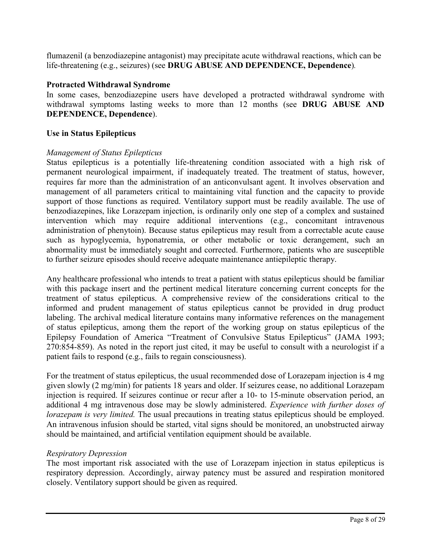flumazenil (a benzodiazepine antagonist) may precipitate acute withdrawal reactions, which can be life-threatening (e.g., seizures) (see **DRUG ABUSE AND DEPENDENCE, Dependence**)*.* 

# **Protracted Withdrawal Syndrome**

In some cases, benzodiazepine users have developed a protracted withdrawal syndrome with withdrawal symptoms lasting weeks to more than 12 months (see **DRUG ABUSE AND DEPENDENCE, Dependence**).

#### **Use in Status Epilepticus**

#### *Management of Status Epilepticus*

Status epilepticus is a potentially life-threatening condition associated with a high risk of permanent neurological impairment, if inadequately treated. The treatment of status, however, requires far more than the administration of an anticonvulsant agent. It involves observation and management of all parameters critical to maintaining vital function and the capacity to provide support of those functions as required. Ventilatory support must be readily available. The use of benzodiazepines, like Lorazepam injection, is ordinarily only one step of a complex and sustained intervention which may require additional interventions (e.g., concomitant intravenous administration of phenytoin). Because status epilepticus may result from a correctable acute cause such as hypoglycemia, hyponatremia, or other metabolic or toxic derangement, such an abnormality must be immediately sought and corrected. Furthermore, patients who are susceptible to further seizure episodes should receive adequate maintenance antiepileptic therapy.

Any healthcare professional who intends to treat a patient with status epilepticus should be familiar with this package insert and the pertinent medical literature concerning current concepts for the treatment of status epilepticus. A comprehensive review of the considerations critical to the informed and prudent management of status epilepticus cannot be provided in drug product labeling. The archival medical literature contains many informative references on the management of status epilepticus, among them the report of the working group on status epilepticus of the Epilepsy Foundation of America "Treatment of Convulsive Status Epilepticus" (JAMA 1993; 270:854-859). As noted in the report just cited, it may be useful to consult with a neurologist if a patient fails to respond (e.g., fails to regain consciousness).

For the treatment of status epilepticus, the usual recommended dose of Lorazepam injection is 4 mg given slowly (2 mg/min) for patients 18 years and older. If seizures cease, no additional Lorazepam injection is required. If seizures continue or recur after a 10- to 15-minute observation period, an additional 4 mg intravenous dose may be slowly administered. *Experience with further doses of lorazepam is very limited.* The usual precautions in treating status epilepticus should be employed. An intravenous infusion should be started, vital signs should be monitored, an unobstructed airway should be maintained, and artificial ventilation equipment should be available.

#### *Respiratory Depression*

The most important risk associated with the use of Lorazepam injection in status epilepticus is respiratory depression. Accordingly, airway patency must be assured and respiration monitored closely. Ventilatory support should be given as required.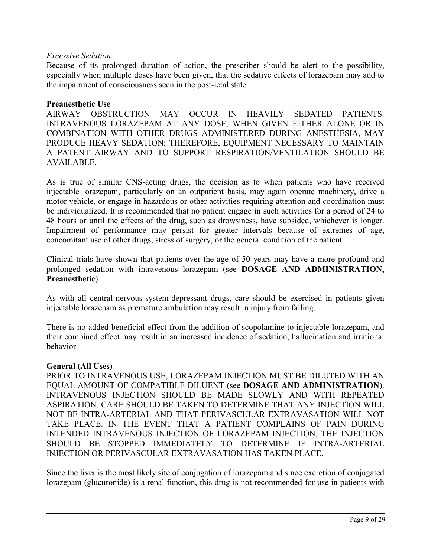#### *Excessive Sedation*

Because of its prolonged duration of action, the prescriber should be alert to the possibility, especially when multiple doses have been given, that the sedative effects of lorazepam may add to the impairment of consciousness seen in the post-ictal state.

#### **Preanesthetic Use**

AIRWAY OBSTRUCTION MAY OCCUR IN HEAVILY SEDATED PATIENTS. INTRAVENOUS LORAZEPAM AT ANY DOSE, WHEN GIVEN EITHER ALONE OR IN COMBINATION WITH OTHER DRUGS ADMINISTERED DURING ANESTHESIA, MAY PRODUCE HEAVY SEDATION; THEREFORE, EQUIPMENT NECESSARY TO MAINTAIN A PATENT AIRWAY AND TO SUPPORT RESPIRATION/VENTILATION SHOULD BE AVAILABLE.

As is true of similar CNS-acting drugs, the decision as to when patients who have received injectable lorazepam, particularly on an outpatient basis, may again operate machinery, drive a motor vehicle, or engage in hazardous or other activities requiring attention and coordination must be individualized. It is recommended that no patient engage in such activities for a period of 24 to 48 hours or until the effects of the drug, such as drowsiness, have subsided, whichever is longer. Impairment of performance may persist for greater intervals because of extremes of age, concomitant use of other drugs, stress of surgery, or the general condition of the patient.

Clinical trials have shown that patients over the age of 50 years may have a more profound and prolonged sedation with intravenous lorazepam (see **DOSAGE AND ADMINISTRATION, Preanesthetic**).

As with all central-nervous-system-depressant drugs, care should be exercised in patients given injectable lorazepam as premature ambulation may result in injury from falling.

There is no added beneficial effect from the addition of scopolamine to injectable lorazepam, and their combined effect may result in an increased incidence of sedation, hallucination and irrational behavior.

#### **General (All Uses)**

PRIOR TO INTRAVENOUS USE, LORAZEPAM INJECTION MUST BE DILUTED WITH AN EQUAL AMOUNT OF COMPATIBLE DILUENT (see **DOSAGE AND ADMINISTRATION**). INTRAVENOUS INJECTION SHOULD BE MADE SLOWLY AND WITH REPEATED ASPIRATION. CARE SHOULD BE TAKEN TO DETERMINE THAT ANY INJECTION WILL NOT BE INTRA-ARTERIAL AND THAT PERIVASCULAR EXTRAVASATION WILL NOT TAKE PLACE. IN THE EVENT THAT A PATIENT COMPLAINS OF PAIN DURING INTENDED INTRAVENOUS INJECTION OF LORAZEPAM INJECTION, THE INJECTION SHOULD BE STOPPED IMMEDIATELY TO DETERMINE IF INTRA-ARTERIAL INJECTION OR PERIVASCULAR EXTRAVASATION HAS TAKEN PLACE.

Since the liver is the most likely site of conjugation of lorazepam and since excretion of conjugated lorazepam (glucuronide) is a renal function, this drug is not recommended for use in patients with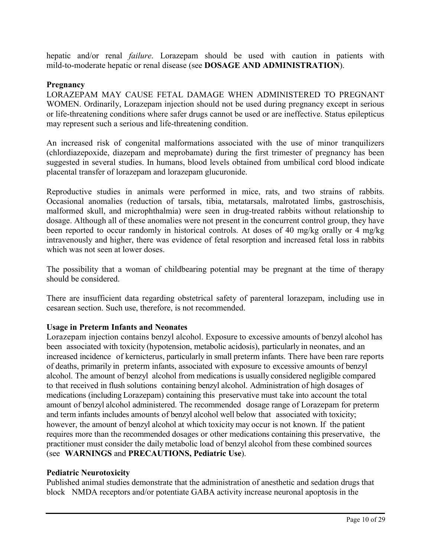hepatic and/or renal *failure*. Lorazepam should be used with caution in patients with mild-to-moderate hepatic or renal disease (see **DOSAGE AND ADMINISTRATION**).

#### **Pregnancy**

LORAZEPAM MAY CAUSE FETAL DAMAGE WHEN ADMINISTERED TO PREGNANT WOMEN. Ordinarily, Lorazepam injection should not be used during pregnancy except in serious or life-threatening conditions where safer drugs cannot be used or are ineffective. Status epilepticus may represent such a serious and life-threatening condition.

An increased risk of congenital malformations associated with the use of minor tranquilizers (chlordiazepoxide, diazepam and meprobamate) during the first trimester of pregnancy has been suggested in several studies. In humans, blood levels obtained from umbilical cord blood indicate placental transfer of lorazepam and lorazepam glucuronide.

Reproductive studies in animals were performed in mice, rats, and two strains of rabbits. Occasional anomalies (reduction of tarsals, tibia, metatarsals, malrotated limbs, gastroschisis, malformed skull, and microphthalmia) were seen in drug-treated rabbits without relationship to dosage. Although all of these anomalies were not present in the concurrent control group, they have been reported to occur randomly in historical controls. At doses of 40 mg/kg orally or 4 mg/kg intravenously and higher, there was evidence of fetal resorption and increased fetal loss in rabbits which was not seen at lower doses.

The possibility that a woman of childbearing potential may be pregnant at the time of therapy should be considered.

There are insufficient data regarding obstetrical safety of parenteral lorazepam, including use in cesarean section. Such use, therefore, is not recommended.

# **Usage in Preterm Infants and Neonates**

Lorazepam injection contains benzyl alcohol. Exposure to excessive amounts of benzyl alcohol has been associated with toxicity (hypotension, metabolic acidosis), particularly in neonates, and an increased incidence of kernicterus, particularly in small preterm infants. There have been rare reports of deaths, primarily in preterm infants, associated with exposure to excessive amounts of benzyl alcohol. The amount of benzyl alcohol from medications is usually considered negligible compared to that received in flush solutions containing benzyl alcohol. Administration of high dosages of medications (including Lorazepam) containing this preservative must take into account the total amount of benzyl alcohol administered. The recommended dosage range of Lorazepam for preterm and term infants includes amounts of benzyl alcohol well below that associated with toxicity; however, the amount of benzyl alcohol at which toxicity may occur is not known. If the patient requires more than the recommended dosages or other medications containing this preservative, the practitioner must consider the daily metabolic load of benzyl alcohol from these combined sources (see **WARNINGS** and **PRECAUTIONS, Pediatric Use**).

#### **Pediatric Neurotoxicity**

Published animal studies demonstrate that the administration of anesthetic and sedation drugs that block NMDA receptors and/or potentiate GABA activity increase neuronal apoptosis in the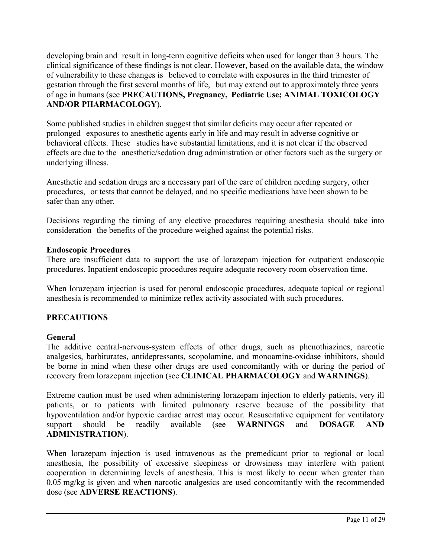developing brain and result in long-term cognitive deficits when used for longer than 3 hours. The clinical significance of these findings is not clear. However, based on the available data, the window of vulnerability to these changes is believed to correlate with exposures in the third trimester of gestation through the first several months of life, but may extend out to approximately three years of age in humans (see **PRECAUTIONS, Pregnancy, Pediatric Use; ANIMAL TOXICOLOGY AND/OR PHARMACOLOGY**).

Some published studies in children suggest that similar deficits may occur after repeated or prolonged exposures to anesthetic agents early in life and may result in adverse cognitive or behavioral effects. These studies have substantial limitations, and it is not clear if the observed effects are due to the anesthetic/sedation drug administration or other factors such as the surgery or underlying illness.

Anesthetic and sedation drugs are a necessary part of the care of children needing surgery, other procedures, or tests that cannot be delayed, and no specific medications have been shown to be safer than any other.

Decisions regarding the timing of any elective procedures requiring anesthesia should take into consideration the benefits of the procedure weighed against the potential risks.

# **Endoscopic Procedures**

There are insufficient data to support the use of lorazepam injection for outpatient endoscopic procedures. Inpatient endoscopic procedures require adequate recovery room observation time.

When lorazepam injection is used for peroral endoscopic procedures, adequate topical or regional anesthesia is recommended to minimize reflex activity associated with such procedures.

# **PRECAUTIONS**

#### **General**

The additive central-nervous-system effects of other drugs, such as phenothiazines, narcotic analgesics, barbiturates, antidepressants, scopolamine, and monoamine-oxidase inhibitors, should be borne in mind when these other drugs are used concomitantly with or during the period of recovery from lorazepam injection (see **CLINICAL PHARMACOLOGY** and **WARNINGS**).

Extreme caution must be used when administering lorazepam injection to elderly patients, very ill patients, or to patients with limited pulmonary reserve because of the possibility that hypoventilation and/or hypoxic cardiac arrest may occur. Resuscitative equipment for ventilatory support should be readily available (see **WARNINGS** and **DOSAGE AND ADMINISTRATION**).

When lorazepam injection is used intravenous as the premedicant prior to regional or local anesthesia, the possibility of excessive sleepiness or drowsiness may interfere with patient cooperation in determining levels of anesthesia. This is most likely to occur when greater than 0.05 mg/kg is given and when narcotic analgesics are used concomitantly with the recommended dose (see **ADVERSE REACTIONS**).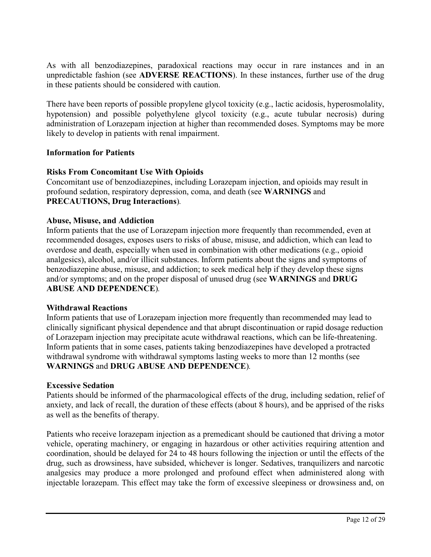As with all benzodiazepines, paradoxical reactions may occur in rare instances and in an unpredictable fashion (see **ADVERSE REACTIONS**). In these instances, further use of the drug in these patients should be considered with caution.

There have been reports of possible propylene glycol toxicity (e.g., lactic acidosis, hyperosmolality, hypotension) and possible polyethylene glycol toxicity (e.g., acute tubular necrosis) during administration of Lorazepam injection at higher than recommended doses. Symptoms may be more likely to develop in patients with renal impairment.

# **Information for Patients**

# **Risks From Concomitant Use With Opioids**

Concomitant use of benzodiazepines, including Lorazepam injection, and opioids may result in profound sedation, respiratory depression, coma, and death (see **WARNINGS** and **PRECAUTIONS, Drug Interactions**)*.* 

#### **Abuse, Misuse, and Addiction**

Inform patients that the use of Lorazepam injection more frequently than recommended, even at recommended dosages, exposes users to risks of abuse, misuse, and addiction, which can lead to overdose and death, especially when used in combination with other medications (e.g., opioid analgesics), alcohol, and/or illicit substances. Inform patients about the signs and symptoms of benzodiazepine abuse, misuse, and addiction; to seek medical help if they develop these signs and/or symptoms; and on the proper disposal of unused drug (see **WARNINGS** and **DRUG ABUSE AND DEPENDENCE**)*.* 

#### **Withdrawal Reactions**

Inform patients that use of Lorazepam injection more frequently than recommended may lead to clinically significant physical dependence and that abrupt discontinuation or rapid dosage reduction of Lorazepam injection may precipitate acute withdrawal reactions, which can be life-threatening. Inform patients that in some cases, patients taking benzodiazepines have developed a protracted withdrawal syndrome with withdrawal symptoms lasting weeks to more than 12 months (see **WARNINGS** and **DRUG ABUSE AND DEPENDENCE**)*.* 

#### **Excessive Sedation**

Patients should be informed of the pharmacological effects of the drug, including sedation, relief of anxiety, and lack of recall, the duration of these effects (about 8 hours), and be apprised of the risks as well as the benefits of therapy.

Patients who receive lorazepam injection as a premedicant should be cautioned that driving a motor vehicle, operating machinery, or engaging in hazardous or other activities requiring attention and coordination, should be delayed for 24 to 48 hours following the injection or until the effects of the drug, such as drowsiness, have subsided, whichever is longer. Sedatives, tranquilizers and narcotic analgesics may produce a more prolonged and profound effect when administered along with injectable lorazepam. This effect may take the form of excessive sleepiness or drowsiness and, on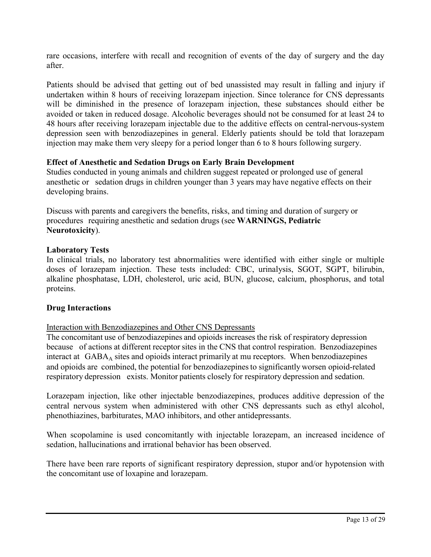rare occasions, interfere with recall and recognition of events of the day of surgery and the day after.

Patients should be advised that getting out of bed unassisted may result in falling and injury if undertaken within 8 hours of receiving lorazepam injection. Since tolerance for CNS depressants will be diminished in the presence of lorazepam injection, these substances should either be avoided or taken in reduced dosage. Alcoholic beverages should not be consumed for at least 24 to 48 hours after receiving lorazepam injectable due to the additive effects on central-nervous-system depression seen with benzodiazepines in general. Elderly patients should be told that lorazepam injection may make them very sleepy for a period longer than 6 to 8 hours following surgery.

#### **Effect of Anesthetic and Sedation Drugs on Early Brain Development**

Studies conducted in young animals and children suggest repeated or prolonged use of general anesthetic or sedation drugs in children younger than 3 years may have negative effects on their developing brains.

Discuss with parents and caregivers the benefits, risks, and timing and duration of surgery or procedures requiring anesthetic and sedation drugs (see **WARNINGS, Pediatric Neurotoxicity**).

#### **Laboratory Tests**

In clinical trials, no laboratory test abnormalities were identified with either single or multiple doses of lorazepam injection. These tests included: CBC, urinalysis, SGOT, SGPT, bilirubin, alkaline phosphatase, LDH, cholesterol, uric acid, BUN, glucose, calcium, phosphorus, and total proteins.

#### **Drug Interactions**

#### Interaction with Benzodiazepines and Other CNS Depressants

The concomitant use of benzodiazepines and opioids increases the risk of respiratory depression because of actions at different receptor sites in the CNS that control respiration. Benzodiazepines interact at  $GABA_A$  sites and opioids interact primarily at mu receptors. When benzodiazepines and opioids are combined, the potential for benzodiazepinesto significantly worsen opioid-related respiratory depression exists. Monitor patients closely for respiratory depression and sedation.

Lorazepam injection, like other injectable benzodiazepines, produces additive depression of the central nervous system when administered with other CNS depressants such as ethyl alcohol, phenothiazines, barbiturates, MAO inhibitors, and other antidepressants.

When scopolamine is used concomitantly with injectable lorazepam, an increased incidence of sedation, hallucinations and irrational behavior has been observed.

There have been rare reports of significant respiratory depression, stupor and/or hypotension with the concomitant use of loxapine and lorazepam.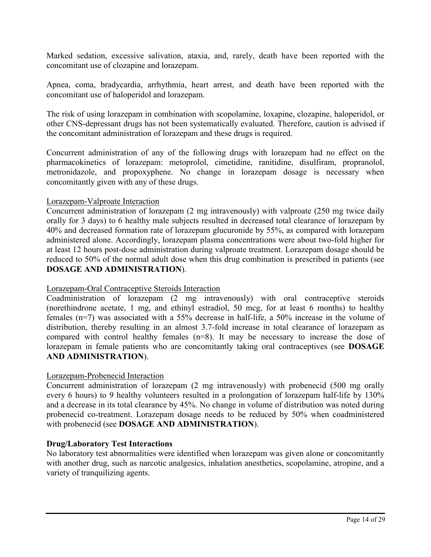Marked sedation, excessive salivation, ataxia, and, rarely, death have been reported with the concomitant use of clozapine and lorazepam.

Apnea, coma, bradycardia, arrhythmia, heart arrest, and death have been reported with the concomitant use of haloperidol and lorazepam.

The risk of using lorazepam in combination with scopolamine, loxapine, clozapine, haloperidol, or other CNS-depressant drugs has not been systematically evaluated. Therefore, caution is advised if the concomitant administration of lorazepam and these drugs is required.

Concurrent administration of any of the following drugs with lorazepam had no effect on the pharmacokinetics of lorazepam: metoprolol, cimetidine, ranitidine, disulfiram, propranolol, metronidazole, and propoxyphene. No change in lorazepam dosage is necessary when concomitantly given with any of these drugs.

#### Lorazepam-Valproate Interaction

Concurrent administration of lorazepam (2 mg intravenously) with valproate (250 mg twice daily orally for 3 days) to 6 healthy male subjects resulted in decreased total clearance of lorazepam by 40% and decreased formation rate of lorazepam glucuronide by 55%, as compared with lorazepam administered alone. Accordingly, lorazepam plasma concentrations were about two-fold higher for at least 12 hours post-dose administration during valproate treatment. Lorazepam dosage should be reduced to 50% of the normal adult dose when this drug combination is prescribed in patients (see **DOSAGE AND ADMINISTRATION**).

Lorazepam-Oral Contraceptive Steroids Interaction

Coadministration of lorazepam (2 mg intravenously) with oral contraceptive steroids (norethindrone acetate, 1 mg, and ethinyl estradiol, 50 mcg, for at least 6 months) to healthy females (n=7) was associated with a 55% decrease in half-life, a 50% increase in the volume of distribution, thereby resulting in an almost 3.7-fold increase in total clearance of lorazepam as compared with control healthy females  $(n=8)$ . It may be necessary to increase the dose of lorazepam in female patients who are concomitantly taking oral contraceptives (see **DOSAGE AND ADMINISTRATION**).

#### Lorazepam-Probenecid Interaction

Concurrent administration of lorazepam (2 mg intravenously) with probenecid (500 mg orally every 6 hours) to 9 healthy volunteers resulted in a prolongation of lorazepam half-life by 130% and a decrease in its total clearance by 45%. No change in volume of distribution was noted during probenecid co-treatment. Lorazepam dosage needs to be reduced by 50% when coadministered with probenecid (see **DOSAGE AND ADMINISTRATION**).

#### **Drug/Laboratory Test Interactions**

No laboratory test abnormalities were identified when lorazepam was given alone or concomitantly with another drug, such as narcotic analgesics, inhalation anesthetics, scopolamine, atropine, and a variety of tranquilizing agents.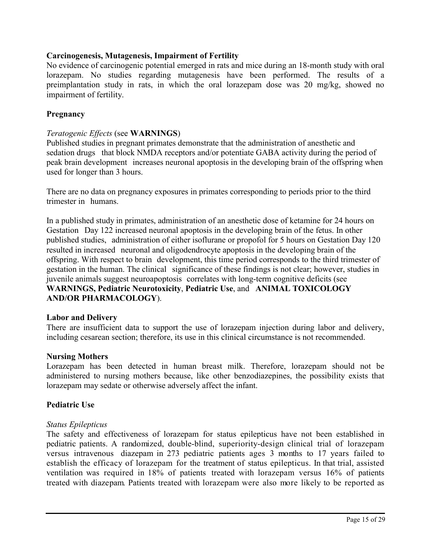# **Carcinogenesis, Mutagenesis, Impairment of Fertility**

No evidence of carcinogenic potential emerged in rats and mice during an 18-month study with oral lorazepam. No studies regarding mutagenesis have been performed. The results of a preimplantation study in rats, in which the oral lorazepam dose was 20 mg/kg, showed no impairment of fertility.

#### **Pregnancy**

#### *Teratogenic Effects* (see **WARNINGS**)

Published studies in pregnant primates demonstrate that the administration of anesthetic and sedation drugs that block NMDA receptors and/or potentiate GABA activity during the period of peak brain development increases neuronal apoptosis in the developing brain of the offspring when used for longer than 3 hours.

There are no data on pregnancy exposures in primates corresponding to periods prior to the third trimester in humans.

In a published study in primates, administration of an anesthetic dose of ketamine for 24 hours on Gestation Day 122 increased neuronal apoptosis in the developing brain of the fetus. In other published studies, administration of either isoflurane or propofol for 5 hours on Gestation Day 120 resulted in increased neuronal and oligodendrocyte apoptosis in the developing brain of the offspring. With respect to brain development, this time period corresponds to the third trimester of gestation in the human. The clinical significance of these findings is not clear; however, studies in juvenile animals suggest neuroapoptosis correlates with long-term cognitive deficits (see **WARNINGS, Pediatric Neurotoxicity**, **Pediatric Use**, and **ANIMAL TOXICOLOGY AND/OR PHARMACOLOGY**).

#### **Labor and Delivery**

There are insufficient data to support the use of lorazepam injection during labor and delivery, including cesarean section; therefore, its use in this clinical circumstance is not recommended.

#### **Nursing Mothers**

Lorazepam has been detected in human breast milk. Therefore, lorazepam should not be administered to nursing mothers because, like other benzodiazepines, the possibility exists that lorazepam may sedate or otherwise adversely affect the infant.

#### **Pediatric Use**

#### *Status Epilepticus*

The safety and effectiveness of lorazepam for status epilepticus have not been established in pediatric patients. A randomized, double-blind, superiority-design clinical trial of lorazepam versus intravenous diazepam in 273 pediatric patients ages 3 months to 17 years failed to establish the efficacy of lorazepam for the treatment of status epilepticus. In that trial, assisted ventilation was required in 18% of patients treated with lorazepam versus 16% of patients treated with diazepam. Patients treated with lorazepam were also more likely to be reported as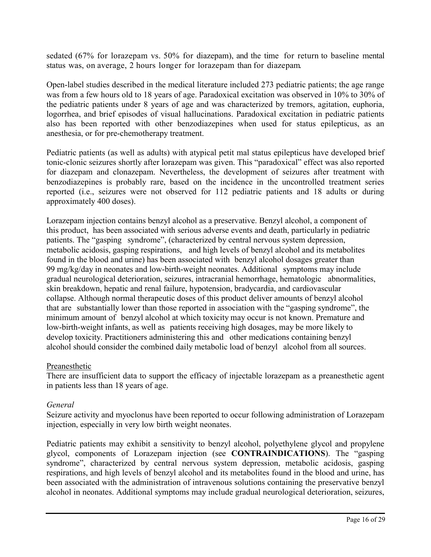sedated (67% for lorazepam vs. 50% for diazepam), and the time for return to baseline mental status was, on average, 2 hours longer for lorazepam than for diazepam.

Open-label studies described in the medical literature included 273 pediatric patients; the age range was from a few hours old to 18 years of age. Paradoxical excitation was observed in 10% to 30% of the pediatric patients under 8 years of age and was characterized by tremors, agitation, euphoria, logorrhea, and brief episodes of visual hallucinations. Paradoxical excitation in pediatric patients also has been reported with other benzodiazepines when used for status epilepticus, as an anesthesia, or for pre-chemotherapy treatment.

Pediatric patients (as well as adults) with atypical petit mal status epilepticus have developed brief tonic-clonic seizures shortly after lorazepam was given. This "paradoxical" effect was also reported for diazepam and clonazepam. Nevertheless, the development of seizures after treatment with benzodiazepines is probably rare, based on the incidence in the uncontrolled treatment series reported (i.e., seizures were not observed for 112 pediatric patients and 18 adults or during approximately 400 doses).

Lorazepam injection contains benzyl alcohol as a preservative. Benzyl alcohol, a component of this product, has been associated with serious adverse events and death, particularly in pediatric patients. The "gasping syndrome", (characterized by central nervous system depression, metabolic acidosis, gasping respirations, and high levels of benzyl alcohol and its metabolites found in the blood and urine) has been associated with benzyl alcohol dosages greater than 99 mg/kg/day in neonates and low-birth-weight neonates. Additional symptoms may include gradual neurological deterioration, seizures, intracranial hemorrhage, hematologic abnormalities, skin breakdown, hepatic and renal failure, hypotension, bradycardia, and cardiovascular collapse. Although normal therapeutic doses of this product deliver amounts of benzyl alcohol that are substantially lower than those reported in association with the "gasping syndrome", the minimum amount of benzyl alcohol at which toxicity may occur is not known. Premature and low-birth-weight infants, as well as patients receiving high dosages, may be more likely to develop toxicity. Practitioners administering this and other medications containing benzyl alcohol should consider the combined daily metabolic load of benzyl alcohol from all sources.

# Preanesthetic

There are insufficient data to support the efficacy of injectable lorazepam as a preanesthetic agent in patients less than 18 years of age.

# *General*

Seizure activity and myoclonus have been reported to occur following administration of Lorazepam injection, especially in very low birth weight neonates.

Pediatric patients may exhibit a sensitivity to benzyl alcohol, polyethylene glycol and propylene glycol, components of Lorazepam injection (see **CONTRAINDICATIONS**). The "gasping syndrome", characterized by central nervous system depression, metabolic acidosis, gasping respirations, and high levels of benzyl alcohol and its metabolites found in the blood and urine, has been associated with the administration of intravenous solutions containing the preservative benzyl alcohol in neonates. Additional symptoms may include gradual neurological deterioration, seizures,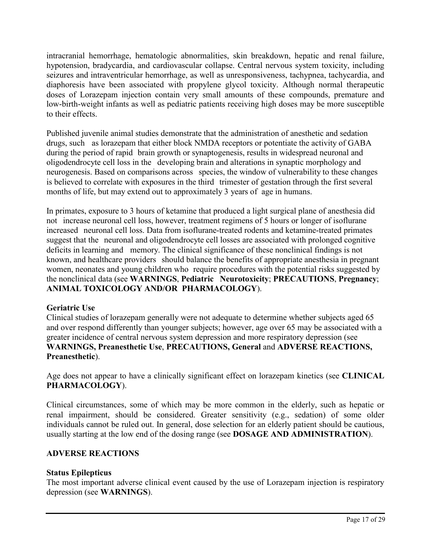intracranial hemorrhage, hematologic abnormalities, skin breakdown, hepatic and renal failure, hypotension, bradycardia, and cardiovascular collapse. Central nervous system toxicity, including seizures and intraventricular hemorrhage, as well as unresponsiveness, tachypnea, tachycardia, and diaphoresis have been associated with propylene glycol toxicity. Although normal therapeutic doses of Lorazepam injection contain very small amounts of these compounds, premature and low-birth-weight infants as well as pediatric patients receiving high doses may be more susceptible to their effects.

Published juvenile animal studies demonstrate that the administration of anesthetic and sedation drugs, such as lorazepam that either block NMDA receptors or potentiate the activity of GABA during the period of rapid brain growth or synaptogenesis, results in widespread neuronal and oligodendrocyte cell loss in the developing brain and alterations in synaptic morphology and neurogenesis. Based on comparisons across species, the window of vulnerability to these changes is believed to correlate with exposures in the third trimester of gestation through the first several months of life, but may extend out to approximately 3 years of age in humans.

In primates, exposure to 3 hours of ketamine that produced a light surgical plane of anesthesia did not increase neuronal cell loss, however, treatment regimens of 5 hours or longer of isoflurane increased neuronal cell loss. Data from isoflurane-treated rodents and ketamine-treated primates suggest that the neuronal and oligodendrocyte cell losses are associated with prolonged cognitive deficits in learning and memory. The clinical significance of these nonclinical findings is not known, and healthcare providers should balance the benefits of appropriate anesthesia in pregnant women, neonates and young children who require procedures with the potential risks suggested by the nonclinical data (see **WARNINGS**, **Pediatric Neurotoxicity**; **PRECAUTIONS**, **Pregnancy**; **ANIMAL TOXICOLOGY AND/OR PHARMACOLOGY**).

# **Geriatric Use**

Clinical studies of lorazepam generally were not adequate to determine whether subjects aged 65 and over respond differently than younger subjects; however, age over 65 may be associated with a greater incidence of central nervous system depression and more respiratory depression (see **WARNINGS, Preanesthetic Use**, **PRECAUTIONS, General** and **ADVERSE REACTIONS, Preanesthetic**).

Age does not appear to have a clinically significant effect on lorazepam kinetics (see **CLINICAL PHARMACOLOGY**).

Clinical circumstances, some of which may be more common in the elderly, such as hepatic or renal impairment, should be considered. Greater sensitivity (e.g., sedation) of some older individuals cannot be ruled out. In general, dose selection for an elderly patient should be cautious, usually starting at the low end of the dosing range (see **DOSAGE AND ADMINISTRATION**).

# **ADVERSE REACTIONS**

# **Status Epilepticus**

The most important adverse clinical event caused by the use of Lorazepam injection is respiratory depression (see **WARNINGS**).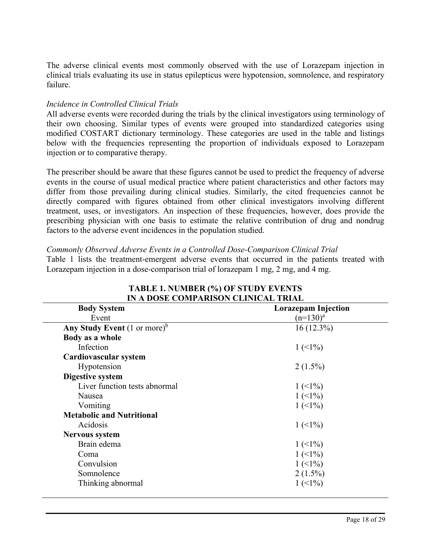The adverse clinical events most commonly observed with the use of Lorazepam injection in clinical trials evaluating its use in status epilepticus were hypotension, somnolence, and respiratory failure.

#### *Incidence in Controlled Clinical Trials*

All adverse events were recorded during the trials by the clinical investigators using terminology of their own choosing. Similar types of events were grouped into standardized categories using modified COSTART dictionary terminology. These categories are used in the table and listings below with the frequencies representing the proportion of individuals exposed to Lorazepam injection or to comparative therapy.

The prescriber should be aware that these figures cannot be used to predict the frequency of adverse events in the course of usual medical practice where patient characteristics and other factors may differ from those prevailing during clinical studies. Similarly, the cited frequencies cannot be directly compared with figures obtained from other clinical investigators involving different treatment, uses, or investigators. An inspection of these frequencies, however, does provide the prescribing physician with one basis to estimate the relative contribution of drug and nondrug factors to the adverse event incidences in the population studied.

# *Commonly Observed Adverse Events in a Controlled Dose-Comparison Clinical Trial* Table 1 lists the treatment-emergent adverse events that occurred in the patients treated with Lorazepam injection in a dose-comparison trial of lorazepam 1 mg, 2 mg, and 4 mg.

| <b>Body System</b>                      | <b>Lorazepam Injection</b>      |  |
|-----------------------------------------|---------------------------------|--|
| Event                                   | $(n=130)^a$                     |  |
| Any Study Event $(1 \text{ or more})^b$ | $16(12.3\%)$                    |  |
| Body as a whole                         |                                 |  |
| Infection                               | $1 \left( \leq 1\% \right)$     |  |
| Cardiovascular system                   |                                 |  |
| Hypotension                             | $2(1.5\%)$                      |  |
| Digestive system                        |                                 |  |
| Liver function tests abnormal           | $1(1\%)$                        |  |
| Nausea                                  | $1(1\%)$                        |  |
| Vomiting                                | $1(1\%)$                        |  |
| <b>Metabolic and Nutritional</b>        |                                 |  |
| Acidosis                                | $1 \left( \frac{10}{6} \right)$ |  |
| <b>Nervous system</b>                   |                                 |  |
| Brain edema                             | $1 \left( \leq 1\% \right)$     |  |
| Coma                                    | $1(1\%)$                        |  |
| Convulsion                              | $1 \left( \frac{20}{9} \right)$ |  |
| Somnolence                              | $2(1.5\%)$                      |  |
| Thinking abnormal                       | $1(1\%)$                        |  |

# **TABLE 1. NUMBER (%) OF STUDY EVENTS**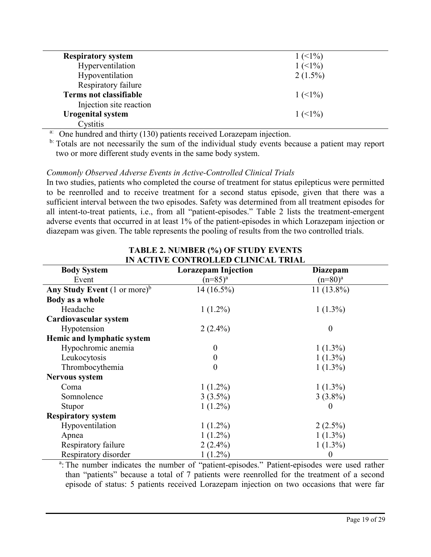| <b>Respiratory system</b>     | $1(1\%)$                    |
|-------------------------------|-----------------------------|
| Hyperventilation              | $1(1\%)$                    |
| Hypoventilation               | $2(1.5\%)$                  |
| Respiratory failure           |                             |
| <b>Terms not classifiable</b> | $1 \left( \leq 1\% \right)$ |
| Injection site reaction       |                             |
| <b>Urogenital system</b>      | $1 \left( \leq 1\% \right)$ |
| Cystitis                      |                             |

a: One hundred and thirty (130) patients received Lorazepam injection.

<sup>b:</sup> Totals are not necessarily the sum of the individual study events because a patient may report two or more different study events in the same body system.

#### *Commonly Observed Adverse Events in Active-Controlled Clinical Trials*

In two studies, patients who completed the course of treatment for status epilepticus were permitted to be reenrolled and to receive treatment for a second status episode, given that there was a sufficient interval between the two episodes. Safety was determined from all treatment episodes for all intent-to-treat patients, i.e., from all "patient-episodes." Table 2 lists the treatment-emergent adverse events that occurred in at least 1% of the patient-episodes in which Lorazepam injection or diazepam was given. The table represents the pooling of results from the two controlled trials.

| <b>Body System</b>                      | <b>Lorazepam Injection</b> | Diazepam         |
|-----------------------------------------|----------------------------|------------------|
| Event                                   | $(n=85)^{a}$               | $(n=80)^a$       |
| Any Study Event $(1 \text{ or more})^b$ | $14(16.5\%)$               | 11 $(13.8\%)$    |
| Body as a whole                         |                            |                  |
| Headache                                | $1(1.2\%)$                 | $1(1.3\%)$       |
| Cardiovascular system                   |                            |                  |
| Hypotension                             | $2(2.4\%)$                 | $\boldsymbol{0}$ |
| Hemic and lymphatic system              |                            |                  |
| Hypochromic anemia                      | $\boldsymbol{0}$           | $1(1.3\%)$       |
| Leukocytosis                            | $\boldsymbol{0}$           | $1(1.3\%)$       |
| Thrombocythemia                         | $\theta$                   | $1(1.3\%)$       |
| <b>Nervous system</b>                   |                            |                  |
| Coma                                    | $1(1.2\%)$                 | $1(1.3\%)$       |
| Somnolence                              | $3(3.5\%)$                 | $3(3.8\%)$       |
| Stupor                                  | $1(1.2\%)$                 | $\theta$         |
| <b>Respiratory system</b>               |                            |                  |
| Hypoventilation                         | $1(1.2\%)$                 | $2(2.5\%)$       |
| Apnea                                   | $1(1.2\%)$                 | $1(1.3\%)$       |
| Respiratory failure                     | $2(2.4\%)$                 | $1(1.3\%)$       |
| Respiratory disorder                    | $1(1.2\%)$                 | 0                |

#### **TABLE 2. NUMBER (%) OF STUDY EVENTS IN ACTIVE CONTROLLED CLINICAL TRIAL**

<sup>a</sup>: The number indicates the number of "patient-episodes." Patient-episodes were used rather than "patients" because a total of 7 patients were reenrolled for the treatment of a second episode of status: 5 patients received Lorazepam injection on two occasions that were far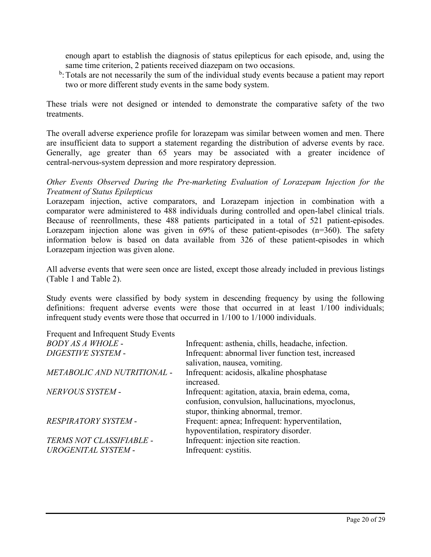enough apart to establish the diagnosis of status epilepticus for each episode, and, using the same time criterion, 2 patients received diazepam on two occasions.

<sup>b</sup>: Totals are not necessarily the sum of the individual study events because a patient may report two or more different study events in the same body system.

These trials were not designed or intended to demonstrate the comparative safety of the two treatments.

The overall adverse experience profile for lorazepam was similar between women and men. There are insufficient data to support a statement regarding the distribution of adverse events by race. Generally, age greater than 65 years may be associated with a greater incidence of central-nervous-system depression and more respiratory depression.

# *Other Events Observed During the Pre-marketing Evaluation of Lorazepam Injection for the Treatment of Status Epilepticus*

Lorazepam injection, active comparators, and Lorazepam injection in combination with a comparator were administered to 488 individuals during controlled and open-label clinical trials. Because of reenrollments, these 488 patients participated in a total of 521 patient-episodes. Lorazepam injection alone was given in  $69\%$  of these patient-episodes (n=360). The safety information below is based on data available from 326 of these patient-episodes in which Lorazepam injection was given alone.

All adverse events that were seen once are listed, except those already included in previous listings (Table 1 and Table 2).

Study events were classified by body system in descending frequency by using the following definitions: frequent adverse events were those that occurred in at least 1/100 individuals; infrequent study events were those that occurred in 1/100 to 1/1000 individuals.

Frequent and Infrequent Study Events

| <b>BODY AS A WHOLE -</b>    | Infrequent: asthenia, chills, headache, infection.  |
|-----------------------------|-----------------------------------------------------|
| DIGESTIVE SYSTEM-           | Infrequent: abnormal liver function test, increased |
|                             | salivation, nausea, vomiting.                       |
| METABOLIC AND NUTRITIONAL - | Infrequent: acidosis, alkaline phosphatase          |
|                             | increased.                                          |
| NERVOUS SYSTEM-             | Infrequent: agitation, ataxia, brain edema, coma,   |
|                             | confusion, convulsion, hallucinations, myoclonus,   |
|                             | stupor, thinking abnormal, tremor.                  |
| <b>RESPIRATORY SYSTEM-</b>  | Frequent: apnea; Infrequent: hyperventilation,      |
|                             | hypoventilation, respiratory disorder.              |
| TERMS NOT CLASSIFIABLE -    | Infrequent: injection site reaction.                |
| UROGENITAL SYSTEM -         | Infrequent: cystitis.                               |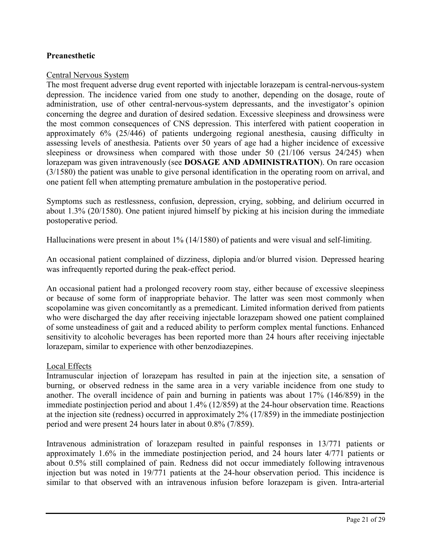# **Preanesthetic**

#### Central Nervous System

The most frequent adverse drug event reported with injectable lorazepam is central-nervous-system depression. The incidence varied from one study to another, depending on the dosage, route of administration, use of other central-nervous-system depressants, and the investigator's opinion concerning the degree and duration of desired sedation. Excessive sleepiness and drowsiness were the most common consequences of CNS depression. This interfered with patient cooperation in approximately 6% (25/446) of patients undergoing regional anesthesia, causing difficulty in assessing levels of anesthesia. Patients over 50 years of age had a higher incidence of excessive sleepiness or drowsiness when compared with those under 50 (21/106 versus 24/245) when lorazepam was given intravenously (see **DOSAGE AND ADMINISTRATION**). On rare occasion (3/1580) the patient was unable to give personal identification in the operating room on arrival, and one patient fell when attempting premature ambulation in the postoperative period.

Symptoms such as restlessness, confusion, depression, crying, sobbing, and delirium occurred in about 1.3% (20/1580). One patient injured himself by picking at his incision during the immediate postoperative period.

Hallucinations were present in about 1% (14/1580) of patients and were visual and self-limiting.

An occasional patient complained of dizziness, diplopia and/or blurred vision. Depressed hearing was infrequently reported during the peak-effect period.

An occasional patient had a prolonged recovery room stay, either because of excessive sleepiness or because of some form of inappropriate behavior. The latter was seen most commonly when scopolamine was given concomitantly as a premedicant. Limited information derived from patients who were discharged the day after receiving injectable lorazepam showed one patient complained of some unsteadiness of gait and a reduced ability to perform complex mental functions. Enhanced sensitivity to alcoholic beverages has been reported more than 24 hours after receiving injectable lorazepam, similar to experience with other benzodiazepines.

#### Local Effects

Intramuscular injection of lorazepam has resulted in pain at the injection site, a sensation of burning, or observed redness in the same area in a very variable incidence from one study to another. The overall incidence of pain and burning in patients was about 17% (146/859) in the immediate postinjection period and about 1.4% (12/859) at the 24-hour observation time. Reactions at the injection site (redness) occurred in approximately 2% (17/859) in the immediate postinjection period and were present 24 hours later in about 0.8% (7/859).

Intravenous administration of lorazepam resulted in painful responses in 13/771 patients or approximately 1.6% in the immediate postinjection period, and 24 hours later 4/771 patients or about 0.5% still complained of pain. Redness did not occur immediately following intravenous injection but was noted in 19/771 patients at the 24-hour observation period. This incidence is similar to that observed with an intravenous infusion before lorazepam is given. Intra-arterial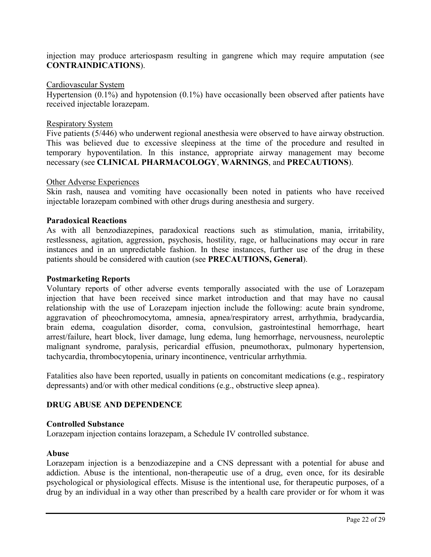injection may produce arteriospasm resulting in gangrene which may require amputation (see **CONTRAINDICATIONS**).

#### Cardiovascular System

Hypertension (0.1%) and hypotension (0.1%) have occasionally been observed after patients have received injectable lorazepam.

#### Respiratory System

Five patients (5/446) who underwent regional anesthesia were observed to have airway obstruction. This was believed due to excessive sleepiness at the time of the procedure and resulted in temporary hypoventilation. In this instance, appropriate airway management may become necessary (see **CLINICAL PHARMACOLOGY**, **WARNINGS**, and **PRECAUTIONS**).

#### Other Adverse Experiences

Skin rash, nausea and vomiting have occasionally been noted in patients who have received injectable lorazepam combined with other drugs during anesthesia and surgery.

#### **Paradoxical Reactions**

As with all benzodiazepines, paradoxical reactions such as stimulation, mania, irritability, restlessness, agitation, aggression, psychosis, hostility, rage, or hallucinations may occur in rare instances and in an unpredictable fashion. In these instances, further use of the drug in these patients should be considered with caution (see **PRECAUTIONS, General**).

#### **Postmarketing Reports**

Voluntary reports of other adverse events temporally associated with the use of Lorazepam injection that have been received since market introduction and that may have no causal relationship with the use of Lorazepam injection include the following: acute brain syndrome, aggravation of pheochromocytoma, amnesia, apnea/respiratory arrest, arrhythmia, bradycardia, brain edema, coagulation disorder, coma, convulsion, gastrointestinal hemorrhage, heart arrest/failure, heart block, liver damage, lung edema, lung hemorrhage, nervousness, neuroleptic malignant syndrome, paralysis, pericardial effusion, pneumothorax, pulmonary hypertension, tachycardia, thrombocytopenia, urinary incontinence, ventricular arrhythmia.

Fatalities also have been reported, usually in patients on concomitant medications (e.g., respiratory depressants) and/or with other medical conditions (e.g., obstructive sleep apnea).

#### **DRUG ABUSE AND DEPENDENCE**

#### **Controlled Substance**

Lorazepam injection contains lorazepam, a Schedule IV controlled substance.

#### **Abuse**

Lorazepam injection is a benzodiazepine and a CNS depressant with a potential for abuse and addiction. Abuse is the intentional, non-therapeutic use of a drug, even once, for its desirable psychological or physiological effects. Misuse is the intentional use, for therapeutic purposes, of a drug by an individual in a way other than prescribed by a health care provider or for whom it was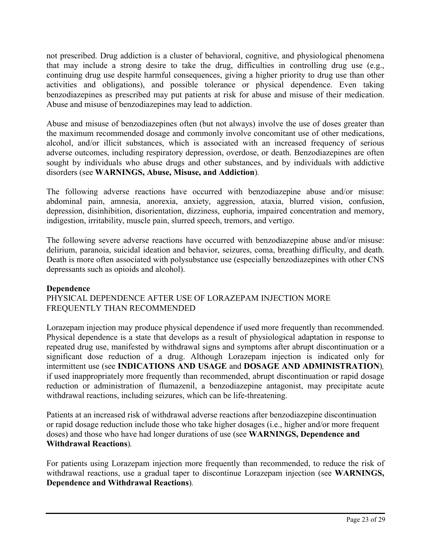not prescribed. Drug addiction is a cluster of behavioral, cognitive, and physiological phenomena that may include a strong desire to take the drug, difficulties in controlling drug use (e.g., continuing drug use despite harmful consequences, giving a higher priority to drug use than other activities and obligations), and possible tolerance or physical dependence. Even taking benzodiazepines as prescribed may put patients at risk for abuse and misuse of their medication. Abuse and misuse of benzodiazepines may lead to addiction.

Abuse and misuse of benzodiazepines often (but not always) involve the use of doses greater than the maximum recommended dosage and commonly involve concomitant use of other medications, alcohol, and/or illicit substances, which is associated with an increased frequency of serious adverse outcomes, including respiratory depression, overdose, or death. Benzodiazepines are often sought by individuals who abuse drugs and other substances, and by individuals with addictive disorders (see **WARNINGS, Abuse, Misuse, and Addiction**)*.* 

The following adverse reactions have occurred with benzodiazepine abuse and/or misuse: abdominal pain, amnesia, anorexia, anxiety, aggression, ataxia, blurred vision, confusion, depression, disinhibition, disorientation, dizziness, euphoria, impaired concentration and memory, indigestion, irritability, muscle pain, slurred speech, tremors, and vertigo.

The following severe adverse reactions have occurred with benzodiazepine abuse and/or misuse: delirium, paranoia, suicidal ideation and behavior, seizures, coma, breathing difficulty, and death. Death is more often associated with polysubstance use (especially benzodiazepines with other CNS depressants such as opioids and alcohol).

# **Dependence**

# PHYSICAL DEPENDENCE AFTER USE OF LORAZEPAM INJECTION MORE FREQUENTLY THAN RECOMMENDED

Lorazepam injection may produce physical dependence if used more frequently than recommended. Physical dependence is a state that develops as a result of physiological adaptation in response to repeated drug use, manifested by withdrawal signs and symptoms after abrupt discontinuation or a significant dose reduction of a drug. Although Lorazepam injection is indicated only for intermittent use (see **INDICATIONS AND USAGE** and **DOSAGE AND ADMINISTRATION**)*,* if used inappropriately more frequently than recommended, abrupt discontinuation or rapid dosage reduction or administration of flumazenil, a benzodiazepine antagonist, may precipitate acute withdrawal reactions, including seizures, which can be life-threatening.

Patients at an increased risk of withdrawal adverse reactions after benzodiazepine discontinuation or rapid dosage reduction include those who take higher dosages (i.e., higher and/or more frequent doses) and those who have had longer durations of use (see **WARNINGS, Dependence and Withdrawal Reactions**)*.* 

For patients using Lorazepam injection more frequently than recommended, to reduce the risk of withdrawal reactions, use a gradual taper to discontinue Lorazepam injection (see **WARNINGS, Dependence and Withdrawal Reactions**)*.*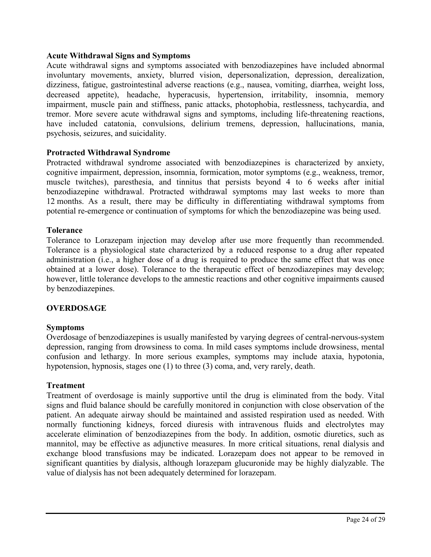#### **Acute Withdrawal Signs and Symptoms**

Acute withdrawal signs and symptoms associated with benzodiazepines have included abnormal involuntary movements, anxiety, blurred vision, depersonalization, depression, derealization, dizziness, fatigue, gastrointestinal adverse reactions (e.g., nausea, vomiting, diarrhea, weight loss, decreased appetite), headache, hyperacusis, hypertension, irritability, insomnia, memory impairment, muscle pain and stiffness, panic attacks, photophobia, restlessness, tachycardia, and tremor. More severe acute withdrawal signs and symptoms, including life-threatening reactions, have included catatonia, convulsions, delirium tremens, depression, hallucinations, mania, psychosis, seizures, and suicidality.

#### **Protracted Withdrawal Syndrome**

Protracted withdrawal syndrome associated with benzodiazepines is characterized by anxiety, cognitive impairment, depression, insomnia, formication, motor symptoms (e.g., weakness, tremor, muscle twitches), paresthesia, and tinnitus that persists beyond 4 to 6 weeks after initial benzodiazepine withdrawal. Protracted withdrawal symptoms may last weeks to more than 12 months. As a result, there may be difficulty in differentiating withdrawal symptoms from potential re-emergence or continuation of symptoms for which the benzodiazepine was being used.

#### **Tolerance**

Tolerance to Lorazepam injection may develop after use more frequently than recommended. Tolerance is a physiological state characterized by a reduced response to a drug after repeated administration (i.e., a higher dose of a drug is required to produce the same effect that was once obtained at a lower dose). Tolerance to the therapeutic effect of benzodiazepines may develop; however, little tolerance develops to the amnestic reactions and other cognitive impairments caused by benzodiazepines.

#### **OVERDOSAGE**

#### **Symptoms**

Overdosage of benzodiazepines is usually manifested by varying degrees of central-nervous-system depression, ranging from drowsiness to coma. In mild cases symptoms include drowsiness, mental confusion and lethargy. In more serious examples, symptoms may include ataxia, hypotonia, hypotension, hypnosis, stages one (1) to three (3) coma, and, very rarely, death.

#### **Treatment**

Treatment of overdosage is mainly supportive until the drug is eliminated from the body. Vital signs and fluid balance should be carefully monitored in conjunction with close observation of the patient. An adequate airway should be maintained and assisted respiration used as needed. With normally functioning kidneys, forced diuresis with intravenous fluids and electrolytes may accelerate elimination of benzodiazepines from the body. In addition, osmotic diuretics, such as mannitol, may be effective as adjunctive measures. In more critical situations, renal dialysis and exchange blood transfusions may be indicated. Lorazepam does not appear to be removed in significant quantities by dialysis, although lorazepam glucuronide may be highly dialyzable. The value of dialysis has not been adequately determined for lorazepam.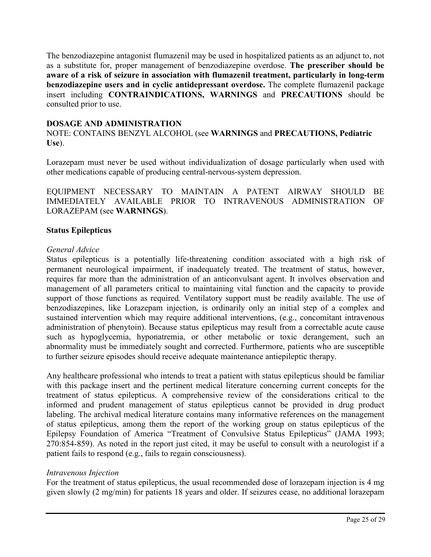The benzodiazepine antagonist flumazenil may be used in hospitalized patients as an adjunct to, not as a substitute for, proper management of benzodiazepine overdose. **The prescriber should be aware of a risk of seizure in association with flumazenil treatment, particularly in long-term benzodiazepine users and in cyclic antidepressant overdose.** The complete flumazenil package insert including **CONTRAINDICATIONS, WARNINGS** and **PRECAUTIONS** should be consulted prior to use.

#### **DOSAGE AND ADMINISTRATION**

NOTE: CONTAINS BENZYL ALCOHOL (see **WARNINGS** and **PRECAUTIONS, Pediatric Use**).

Lorazepam must never be used without individualization of dosage particularly when used with other medications capable of producing central-nervous-system depression.

EQUIPMENT NECESSARY TO MAINTAIN A PATENT AIRWAY SHOULD BE IMMEDIATELY AVAILABLE PRIOR TO INTRAVENOUS ADMINISTRATION OF LORAZEPAM (see **WARNINGS**).

#### **Status Epilepticus**

#### *General Advice*

Status epilepticus is a potentially life-threatening condition associated with a high risk of permanent neurological impairment, if inadequately treated. The treatment of status, however, requires far more than the administration of an anticonvulsant agent. It involves observation and management of all parameters critical to maintaining vital function and the capacity to provide support of those functions as required. Ventilatory support must be readily available. The use of benzodiazepines, like Lorazepam injection, is ordinarily only an initial step of a complex and sustained intervention which may require additional interventions, (e.g., concomitant intravenous administration of phenytoin). Because status epilepticus may result from a correctable acute cause such as hypoglycemia, hyponatremia, or other metabolic or toxic derangement, such an abnormality must be immediately sought and corrected. Furthermore, patients who are susceptible to further seizure episodes should receive adequate maintenance antiepileptic therapy.

Any healthcare professional who intends to treat a patient with status epilepticus should be familiar with this package insert and the pertinent medical literature concerning current concepts for the treatment of status epilepticus. A comprehensive review of the considerations critical to the informed and prudent management of status epilepticus cannot be provided in drug product labeling. The archival medical literature contains many informative references on the management of status epilepticus, among them the report of the working group on status epilepticus of the Epilepsy Foundation of America "Treatment of Convulsive Status Epilepticus" (JAMA 1993; 270:854-859). As noted in the report just cited, it may be useful to consult with a neurologist if a patient fails to respond (e.g., fails to regain consciousness).

#### *Intravenous Injection*

For the treatment of status epilepticus, the usual recommended dose of lorazepam injection is 4 mg given slowly (2 mg/min) for patients 18 years and older. If seizures cease, no additional lorazepam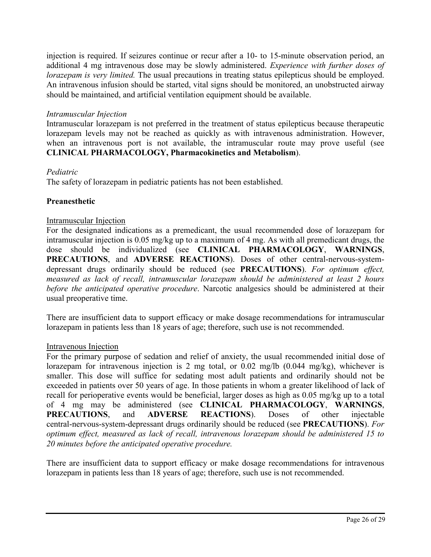injection is required. If seizures continue or recur after a 10- to 15-minute observation period, an additional 4 mg intravenous dose may be slowly administered. *Experience with further doses of lorazepam is very limited.* The usual precautions in treating status epilepticus should be employed. An intravenous infusion should be started, vital signs should be monitored, an unobstructed airway should be maintained, and artificial ventilation equipment should be available.

#### *Intramuscular Injection*

Intramuscular lorazepam is not preferred in the treatment of status epilepticus because therapeutic lorazepam levels may not be reached as quickly as with intravenous administration. However, when an intravenous port is not available, the intramuscular route may prove useful (see **CLINICAL PHARMACOLOGY, Pharmacokinetics and Metabolism**).

#### *Pediatric*

The safety of lorazepam in pediatric patients has not been established.

#### **Preanesthetic**

#### Intramuscular Injection

For the designated indications as a premedicant, the usual recommended dose of lorazepam for intramuscular injection is 0.05 mg/kg up to a maximum of 4 mg. As with all premedicant drugs, the dose should be individualized (see **CLINICAL PHARMACOLOGY**, **WARNINGS**, **PRECAUTIONS**, and **ADVERSE REACTIONS**). Doses of other central-nervous-systemdepressant drugs ordinarily should be reduced (see **PRECAUTIONS**). *For optimum effect, measured as lack of recall, intramuscular lorazepam should be administered at least 2 hours before the anticipated operative procedure*. Narcotic analgesics should be administered at their usual preoperative time.

There are insufficient data to support efficacy or make dosage recommendations for intramuscular lorazepam in patients less than 18 years of age; therefore, such use is not recommended.

#### Intravenous Injection

For the primary purpose of sedation and relief of anxiety, the usual recommended initial dose of lorazepam for intravenous injection is 2 mg total, or 0.02 mg/lb (0.044 mg/kg), whichever is smaller. This dose will suffice for sedating most adult patients and ordinarily should not be exceeded in patients over 50 years of age. In those patients in whom a greater likelihood of lack of recall for perioperative events would be beneficial, larger doses as high as 0.05 mg/kg up to a total of 4 mg may be administered (see **CLINICAL PHARMACOLOGY**, **WARNINGS**, **PRECAUTIONS**, and **ADVERSE REACTIONS**). Doses of other injectable central-nervous-system-depressant drugs ordinarily should be reduced (see **PRECAUTIONS**). *For optimum effect, measured as lack of recall, intravenous lorazepam should be administered 15 to 20 minutes before the anticipated operative procedure.*

There are insufficient data to support efficacy or make dosage recommendations for intravenous lorazepam in patients less than 18 years of age; therefore, such use is not recommended.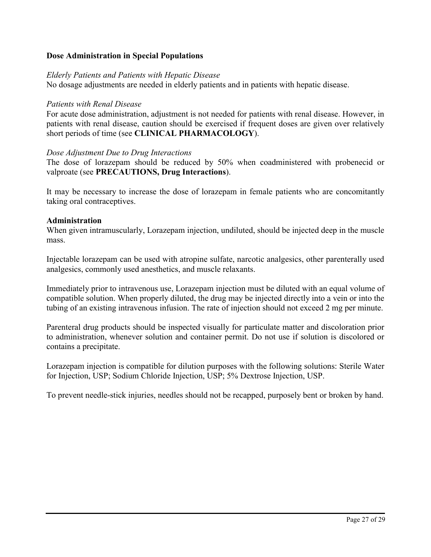#### **Dose Administration in Special Populations**

#### *Elderly Patients and Patients with Hepatic Disease*

No dosage adjustments are needed in elderly patients and in patients with hepatic disease.

#### *Patients with Renal Disease*

For acute dose administration, adjustment is not needed for patients with renal disease. However, in patients with renal disease, caution should be exercised if frequent doses are given over relatively short periods of time (see **CLINICAL PHARMACOLOGY**).

#### *Dose Adjustment Due to Drug Interactions*

The dose of lorazepam should be reduced by 50% when coadministered with probenecid or valproate (see **PRECAUTIONS, Drug Interactions**).

It may be necessary to increase the dose of lorazepam in female patients who are concomitantly taking oral contraceptives.

#### **Administration**

When given intramuscularly, Lorazepam injection, undiluted, should be injected deep in the muscle mass.

Injectable lorazepam can be used with atropine sulfate, narcotic analgesics, other parenterally used analgesics, commonly used anesthetics, and muscle relaxants.

Immediately prior to intravenous use, Lorazepam injection must be diluted with an equal volume of compatible solution. When properly diluted, the drug may be injected directly into a vein or into the tubing of an existing intravenous infusion. The rate of injection should not exceed 2 mg per minute.

Parenteral drug products should be inspected visually for particulate matter and discoloration prior to administration, whenever solution and container permit. Do not use if solution is discolored or contains a precipitate.

Lorazepam injection is compatible for dilution purposes with the following solutions: Sterile Water for Injection, USP; Sodium Chloride Injection, USP; 5% Dextrose Injection, USP.

To prevent needle-stick injuries, needles should not be recapped, purposely bent or broken by hand.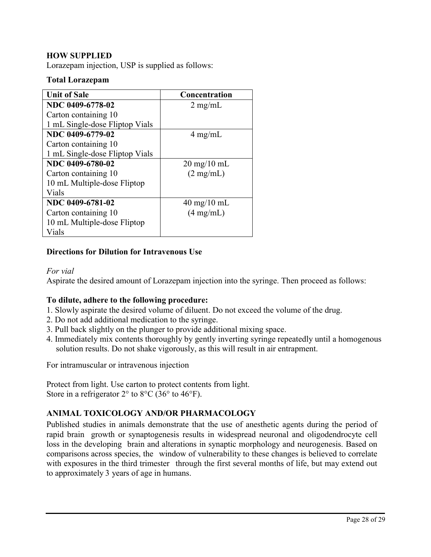#### **HOW SUPPLIED**

Lorazepam injection, USP is supplied as follows:

#### **Total Lorazepam**

| <b>Unit of Sale</b>            | <b>Concentration</b>          |
|--------------------------------|-------------------------------|
| NDC 0409-6778-02               | $2 \text{ mg/mL}$             |
| Carton containing 10           |                               |
| 1 mL Single-dose Fliptop Vials |                               |
| NDC 0409-6779-02               | $4 \text{ mg/mL}$             |
| Carton containing 10           |                               |
| 1 mL Single-dose Fliptop Vials |                               |
| NDC 0409-6780-02               | $20 \text{ mg}/10 \text{ mL}$ |
| Carton containing 10           | $(2 \text{ mg/mL})$           |
| 10 mL Multiple-dose Fliptop    |                               |
| Vials                          |                               |
| NDC 0409-6781-02               | $40 \text{ mg}/10 \text{ mL}$ |
| Carton containing 10           | $(4 \text{ mg/mL})$           |
| 10 mL Multiple-dose Fliptop    |                               |
| Vials                          |                               |

#### **Directions for Dilution for Intravenous Use**

#### *For vial*

Aspirate the desired amount of Lorazepam injection into the syringe. Then proceed as follows:

#### **To dilute, adhere to the following procedure:**

- 1. Slowly aspirate the desired volume of diluent. Do not exceed the volume of the drug.
- 2. Do not add additional medication to the syringe.
- 3. Pull back slightly on the plunger to provide additional mixing space.
- 4. Immediately mix contents thoroughly by gently inverting syringe repeatedly until a homogenous solution results. Do not shake vigorously, as this will result in air entrapment.

For intramuscular or intravenous injection

Protect from light. Use carton to protect contents from light. Store in a refrigerator  $2^{\circ}$  to  $8^{\circ}$ C (36° to 46°F).

#### **ANIMAL TOXICOLOGY AND/OR PHARMACOLOGY**

Published studies in animals demonstrate that the use of anesthetic agents during the period of rapid brain growth or synaptogenesis results in widespread neuronal and oligodendrocyte cell loss in the developing brain and alterations in synaptic morphology and neurogenesis. Based on comparisons across species, the window of vulnerability to these changes is believed to correlate with exposures in the third trimester through the first several months of life, but may extend out to approximately 3 years of age in humans.